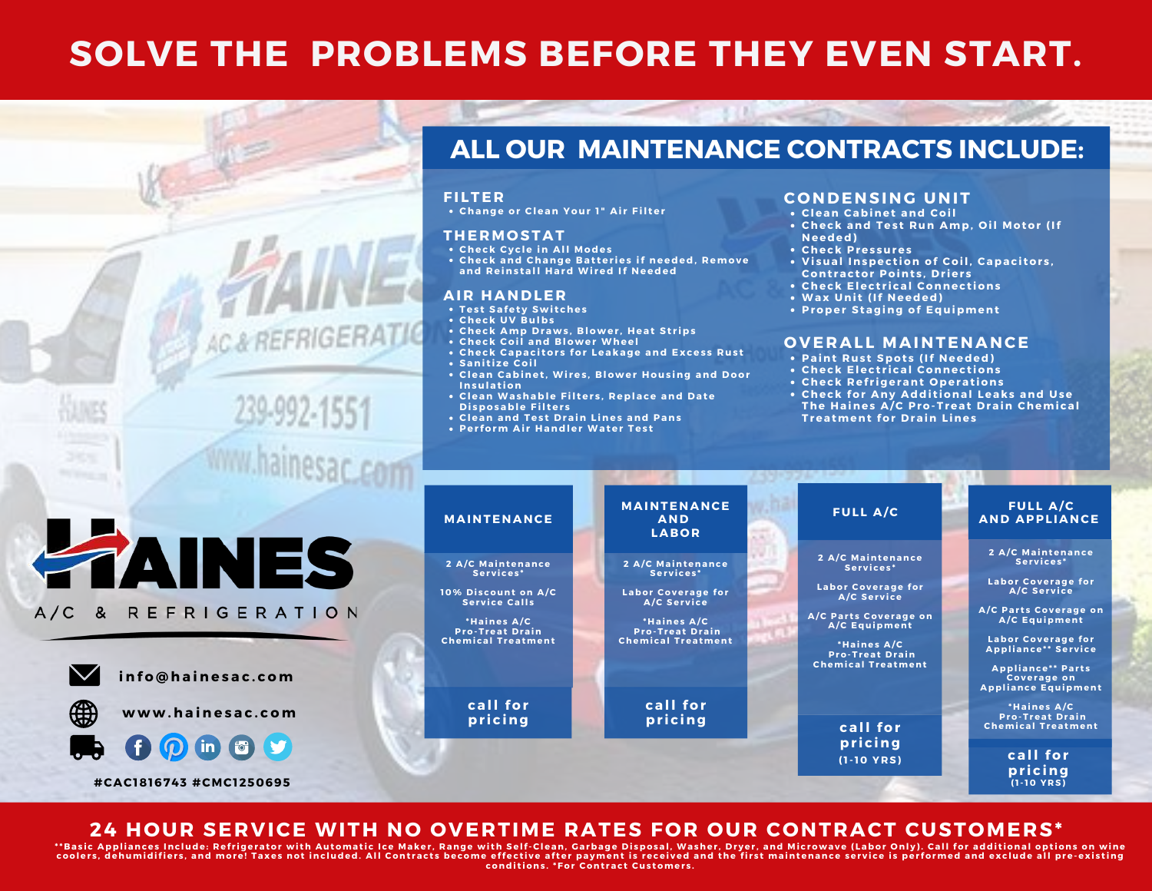## **SOLVE THE PROBLEMS BEFORE THEY EVEN START.**

### **ALL OUR MAINTENANCE CONTRACTS INCLUDE:**

#### **FI LTE R**

**AC& REFRIGER** 

**Change or Clean Your 1 " Ai r Fil ter**

#### **THE RMO STAT**

- **Check Cy c le in All Modes**
- **Check and Change B at ter ies if needed, R emove and R eins tall Hard Wi red If Needed**

#### **AI R HANDLE R**

- **Tes t Safet y Swi t ches**
- **Check UV B ulbs**
- **Check Amp Draws ,B lower , Heat St r ips**
- **Check Coil and B lower Wheel**
- **Check Capac i tor s for Leakage and Exces s R us t**
- **Sani t i ze Coil**
- **Clean Cabinet ,Wi res , B lower Hous ing and Door Insulat ion**
- **Clean Washable Fil ter s ,R eplace and Date Di sposable Fil ter s**
- **Clean and Tes t Drain L ines and Pans**
- **Per form Ai r Handler Water Tes t**

#### **C O NDENSING UNIT**

- **Clean Cabinet and Coil**
- **Check and Tes t R un Amp, O il Motor (If Needed)**
- **Check Pres sures**
- **<sup>V</sup> <sup>i</sup> sual Inspec <sup>t</sup> ion of Coil, Capac <sup>i</sup> tor <sup>s</sup> ,Cont rac tor Point <sup>s</sup> ,Dr ier <sup>s</sup>**
- **Check Elec t r i cal Connec t ions**
- **Wax Uni t (If Needed)**
- **Proper Staging of Equipment**

#### **O V E RAL L MAINTENANCE**

- **Paint R us t Spot s (If Needed)**
- **Check Elec t r i cal Connec t ions**
- **Check R ef r igerant O perat ions**
- **Check for Any Addi t ional Leaks and Use The Haines A/C Pro-Treat Drain Chemi cal Treatment for Drain L ines**



#### **24 HOUR SERVICE WITH NO OVERTIME RATES FOR OUR CONTRACT CUSTOMERS\***

"Basic Appliances Include: Refrigerator with Automatic Ice Maker, Range with Self-Clean, Garbage Disposal, Washer, Dryer, and Microwave (Labor Only). Call for additional options on wine coolers, dehumidifiers, and more! Taxes not included. All Contracts become effective after payment is received and the first maintenance service is performed and exclude all pre-existing **condi t ions . \*For Cont rac t Cus tomer s .**